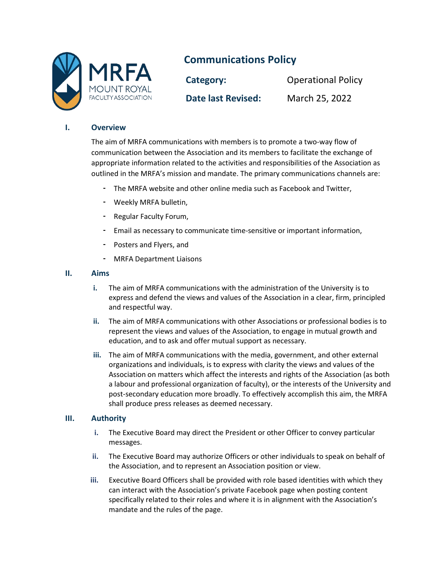

# **Communications Policy**

**Category:** Operational Policy **Date last Revised:** March 25, 2022

# **I. Overview**

The aim of MRFA communications with members is to promote a two-way flow of communication between the Association and its members to facilitate the exchange of appropriate information related to the activities and responsibilities of the Association as outlined in the MRFA's mission and mandate. The primary communications channels are:

- The MRFA website and other online media such as Facebook and Twitter,
- Weekly MRFA bulletin,
- Regular Faculty Forum,
- Email as necessary to communicate time-sensitive or important information,
- Posters and Flyers, and
- MRFA Department Liaisons

# **II. Aims**

- **i.** The aim of MRFA communications with the administration of the University is to express and defend the views and values of the Association in a clear, firm, principled and respectful way.
- **ii.** The aim of MRFA communications with other Associations or professional bodies is to represent the views and values of the Association, to engage in mutual growth and education, and to ask and offer mutual support as necessary.
- **iii.** The aim of MRFA communications with the media, government, and other external organizations and individuals, is to express with clarity the views and values of the Association on matters which affect the interests and rights of the Association (as both a labour and professional organization of faculty), or the interests of the University and post-secondary education more broadly. To effectively accomplish this aim, the MRFA shall produce press releases as deemed necessary.

# **III. Authority**

- **i.** The Executive Board may direct the President or other Officer to convey particular messages.
- **ii.** The Executive Board may authorize Officers or other individuals to speak on behalf of the Association, and to represent an Association position or view.
- **iii.** Executive Board Officers shall be provided with role based identities with which they can interact with the Association's private Facebook page when posting content specifically related to their roles and where it is in alignment with the Association's mandate and the rules of the page.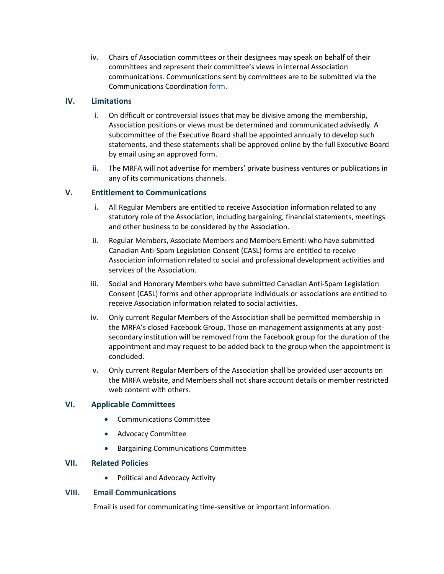**iv.** Chairs of Association committees or their designees may speak on behalf of their committees and represent their committee's views in internal Association communications. Communications sent by committees are to be submitted via the Communications Coordination [form.](https://docs.google.com/forms/d/e/1FAIpQLSf9JAmnJwcYGd0HQ7jsaHHbcPm-z3CTu604RYR3vNQPpwRlyQ/viewform?usp=sf_link)

# **IV. Limitations**

- **i.** On difficult or controversial issues that may be divisive among the membership, Association positions or views must be determined and communicated advisedly. A subcommittee of the Executive Board shall be appointed annually to develop such statements, and these statements shall be approved online by the full Executive Board by email using an approved form.
- **ii.** The MRFA will not advertise for members' private business ventures or publications in any of its communications channels.

# **V. Entitlement to Communications**

- **i.** All Regular Members are entitled to receive Association information related to any statutory role of the Association, including bargaining, financial statements, meetings and other business to be considered by the Association.
- **ii.** Regular Members, Associate Members and Members Emeriti who have submitted Canadian Anti-Spam Legislation Consent (CASL) forms are entitled to receive Association information related to social and professional development activities and services of the Association.
- **iii.** Social and Honorary Members who have submitted Canadian Anti-Spam Legislation Consent (CASL) forms and other appropriate individuals or associations are entitled to receive Association information related to social activities.
- **iv.** Only current Regular Members of the Association shall be permitted membership in the MRFA's closed Facebook Group. Those on management assignments at any postsecondary institution will be removed from the Facebook group for the duration of the appointment and may request to be added back to the group when the appointment is concluded.
- **v.** Only current Regular Members of the Association shall be provided user accounts on the MRFA website, and Members shall not share account details or member restricted web content with others.

# **VI. Applicable Committees**

- Communications Committee
- Advocacy Committee
- Bargaining Communications Committee

# **VII. Related Policies**

• Political and Advocacy Activity

# **VIII. Email Communications**

Email is used for communicating time-sensitive or important information.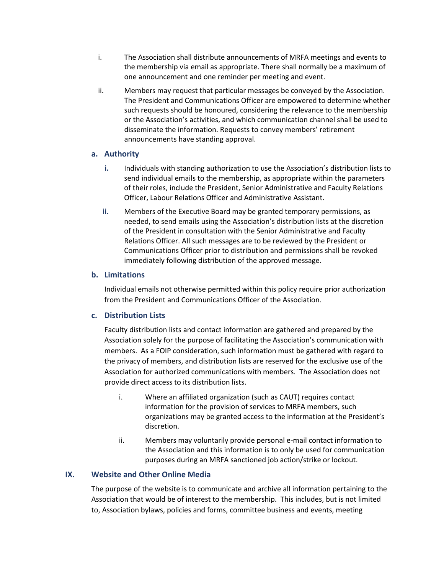- i. The Association shall distribute announcements of MRFA meetings and events to the membership via email as appropriate. There shall normally be a maximum of one announcement and one reminder per meeting and event.
- ii. Members may request that particular messages be conveyed by the Association. The President and Communications Officer are empowered to determine whether such requests should be honoured, considering the relevance to the membership or the Association's activities, and which communication channel shall be used to disseminate the information. Requests to convey members' retirement announcements have standing approval.

# **a. Authority**

- **i.** Individuals with standing authorization to use the Association's distribution lists to send individual emails to the membership, as appropriate within the parameters of their roles, include the President, Senior Administrative and Faculty Relations Officer, Labour Relations Officer and Administrative Assistant.
- **ii.** Members of the Executive Board may be granted temporary permissions, as needed, to send emails using the Association's distribution lists at the discretion of the President in consultation with the Senior Administrative and Faculty Relations Officer. All such messages are to be reviewed by the President or Communications Officer prior to distribution and permissions shall be revoked immediately following distribution of the approved message.

# **b. Limitations**

Individual emails not otherwise permitted within this policy require prior authorization from the President and Communications Officer of the Association.

# **c. Distribution Lists**

Faculty distribution lists and contact information are gathered and prepared by the Association solely for the purpose of facilitating the Association's communication with members. As a FOIP consideration, such information must be gathered with regard to the privacy of members, and distribution lists are reserved for the exclusive use of the Association for authorized communications with members. The Association does not provide direct access to its distribution lists.

- i. Where an affiliated organization (such as CAUT) requires contact information for the provision of services to MRFA members, such organizations may be granted access to the information at the President's discretion.
- ii. Members may voluntarily provide personal e-mail contact information to the Association and this information is to only be used for communication purposes during an MRFA sanctioned job action/strike or lockout.

# **IX. Website and Other Online Media**

The purpose of the website is to communicate and archive all information pertaining to the Association that would be of interest to the membership. This includes, but is not limited to, Association bylaws, policies and forms, committee business and events, meeting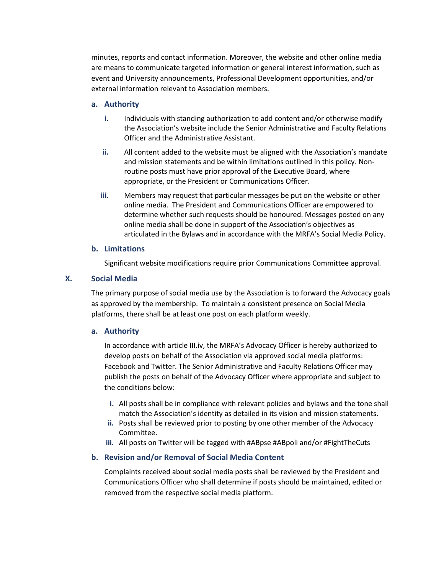minutes, reports and contact information. Moreover, the website and other online media are means to communicate targeted information or general interest information, such as event and University announcements, Professional Development opportunities, and/or external information relevant to Association members.

#### **a. Authority**

- **i.** Individuals with standing authorization to add content and/or otherwise modify the Association's website include the Senior Administrative and Faculty Relations Officer and the Administrative Assistant.
- **ii.** All content added to the website must be aligned with the Association's mandate and mission statements and be within limitations outlined in this policy. Nonroutine posts must have prior approval of the Executive Board, where appropriate, or the President or Communications Officer.
- **iii.** Members may request that particular messages be put on the website or other online media. The President and Communications Officer are empowered to determine whether such requests should be honoured. Messages posted on any online media shall be done in support of the Association's objectives as articulated in the Bylaws and in accordance with the MRFA's Social Media Policy.

# **b. Limitations**

Significant website modifications require prior Communications Committee approval.

#### **X. Social Media**

The primary purpose of social media use by the Association is to forward the Advocacy goals as approved by the membership. To maintain a consistent presence on Social Media platforms, there shall be at least one post on each platform weekly.

#### **a. Authority**

In accordance with article III.iv, the MRFA's Advocacy Officer is hereby authorized to develop posts on behalf of the Association via approved social media platforms: Facebook and Twitter. The Senior Administrative and Faculty Relations Officer may publish the posts on behalf of the Advocacy Officer where appropriate and subject to the conditions below:

- **i.** All posts shall be in compliance with relevant policies and bylaws and the tone shall match the Association's identity as detailed in its vision and mission statements.
- **ii.** Posts shall be reviewed prior to posting by one other member of the Advocacy Committee.
- **iii.** All posts on Twitter will be tagged with #ABpse #ABpoli and/or #FightTheCuts

# **b. Revision and/or Removal of Social Media Content**

Complaints received about social media posts shall be reviewed by the President and Communications Officer who shall determine if posts should be maintained, edited or removed from the respective social media platform.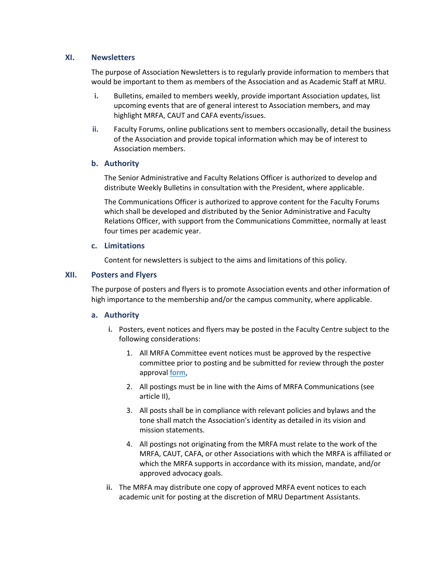# **XI. Newsletters**

The purpose of Association Newsletters is to regularly provide information to members that would be important to them as members of the Association and as Academic Staff at MRU.

- **i.** Bulletins, emailed to members weekly, provide important Association updates, list upcoming events that are of general interest to Association members, and may highlight MRFA, CAUT and CAFA events/issues.
- **ii.** Faculty Forums, online publications sent to members occasionally, detail the business of the Association and provide topical information which may be of interest to Association members.

# **b. Authority**

The Senior Administrative and Faculty Relations Officer is authorized to develop and distribute Weekly Bulletins in consultation with the President, where applicable.

The Communications Officer is authorized to approve content for the Faculty Forums which shall be developed and distributed by the Senior Administrative and Faculty Relations Officer, with support from the Communications Committee, normally at least four times per academic year.

# **c. Limitations**

Content for newsletters is subject to the aims and limitations of this policy.

# **XII. Posters and Flyers**

The purpose of posters and flyers is to promote Association events and other information of high importance to the membership and/or the campus community, where applicable.

# **a. Authority**

- **i.** Posters, event notices and flyers may be posted in the Faculty Centre subject to the following considerations:
	- 1. All MRFA Committee event notices must be approved by the respective committee prior to posting and be submitted for review through the poster approval [form,](https://docs.google.com/forms/d/e/1FAIpQLSf9JAmnJwcYGd0HQ7jsaHHbcPm-z3CTu604RYR3vNQPpwRlyQ/viewform)
	- 2. All postings must be in line with the Aims of MRFA Communications (see article II),
	- 3. All posts shall be in compliance with relevant policies and bylaws and the tone shall match the Association's identity as detailed in its vision and mission statements.
	- 4. All postings not originating from the MRFA must relate to the work of the MRFA, CAUT, CAFA, or other Associations with which the MRFA is affiliated or which the MRFA supports in accordance with its mission, mandate, and/or approved advocacy goals.
- **ii.** The MRFA may distribute one copy of approved MRFA event notices to each academic unit for posting at the discretion of MRU Department Assistants.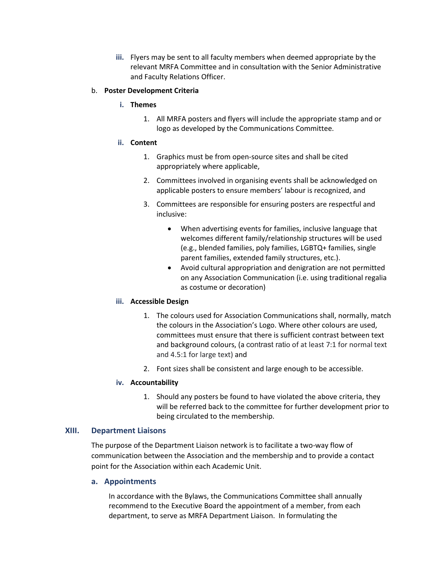**iii.** Flyers may be sent to all faculty members when deemed appropriate by the relevant MRFA Committee and in consultation with the Senior Administrative and Faculty Relations Officer.

#### b. **Poster Development Criteria**

- **i. Themes** 
	- 1. All MRFA posters and flyers will include the appropriate stamp and or logo as developed by the Communications Committee.
- **ii. Content**
	- 1. Graphics must be from open-source sites and shall be cited appropriately where applicable,
	- 2. Committees involved in organising events shall be acknowledged on applicable posters to ensure members' labour is recognized, and
	- 3. Committees are responsible for ensuring posters are respectful and inclusive:
		- When advertising events for families, inclusive language that welcomes different family/relationship structures will be used (e.g., blended families, poly families, LGBTQ+ families, single parent families, extended family structures, etc.).
		- Avoid cultural appropriation and denigration are not permitted on any Association Communication (i.e. using traditional regalia as costume or decoration)

# **iii. Accessible Design**

- 1. The colours used for Association Communications shall, normally, match the colours in the Association's Logo. Where other colours are used, committees must ensure that there is sufficient contrast between text and background colours, (a contrast ratio of at least 7:1 for normal text and 4.5:1 for large text) and
- 2. Font sizes shall be consistent and large enough to be accessible.

# **iv. Accountability**

1. Should any posters be found to have violated the above criteria, they will be referred back to the committee for further development prior to being circulated to the membership.

# **XIII. Department Liaisons**

The purpose of the Department Liaison network is to facilitate a two-way flow of communication between the Association and the membership and to provide a contact point for the Association within each Academic Unit.

# **a. Appointments**

In accordance with the Bylaws, the Communications Committee shall annually recommend to the Executive Board the appointment of a member, from each department, to serve as MRFA Department Liaison. In formulating the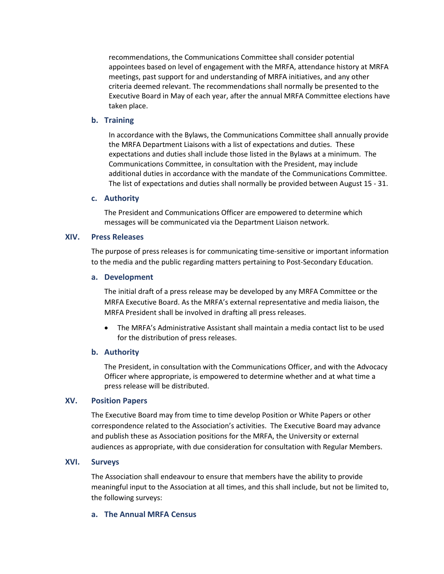recommendations, the Communications Committee shall consider potential appointees based on level of engagement with the MRFA, attendance history at MRFA meetings, past support for and understanding of MRFA initiatives, and any other criteria deemed relevant. The recommendations shall normally be presented to the Executive Board in May of each year, after the annual MRFA Committee elections have taken place.

#### **b. Training**

In accordance with the Bylaws, the Communications Committee shall annually provide the MRFA Department Liaisons with a list of expectations and duties. These expectations and duties shall include those listed in the Bylaws at a minimum. The Communications Committee, in consultation with the President, may include additional duties in accordance with the mandate of the Communications Committee. The list of expectations and duties shall normally be provided between August 15 - 31.

#### **c. Authority**

The President and Communications Officer are empowered to determine which messages will be communicated via the Department Liaison network.

# **XIV. Press Releases**

The purpose of press releases is for communicating time-sensitive or important information to the media and the public regarding matters pertaining to Post-Secondary Education.

#### **a. Development**

The initial draft of a press release may be developed by any MRFA Committee or the MRFA Executive Board. As the MRFA's external representative and media liaison, the MRFA President shall be involved in drafting all press releases.

• The MRFA's Administrative Assistant shall maintain a media contact list to be used for the distribution of press releases.

# **b. Authority**

The President, in consultation with the Communications Officer, and with the Advocacy Officer where appropriate, is empowered to determine whether and at what time a press release will be distributed.

# **XV. Position Papers**

The Executive Board may from time to time develop Position or White Papers or other correspondence related to the Association's activities. The Executive Board may advance and publish these as Association positions for the MRFA, the University or external audiences as appropriate, with due consideration for consultation with Regular Members.

# **XVI. Surveys**

The Association shall endeavour to ensure that members have the ability to provide meaningful input to the Association at all times, and this shall include, but not be limited to, the following surveys:

# **a. The Annual MRFA Census**